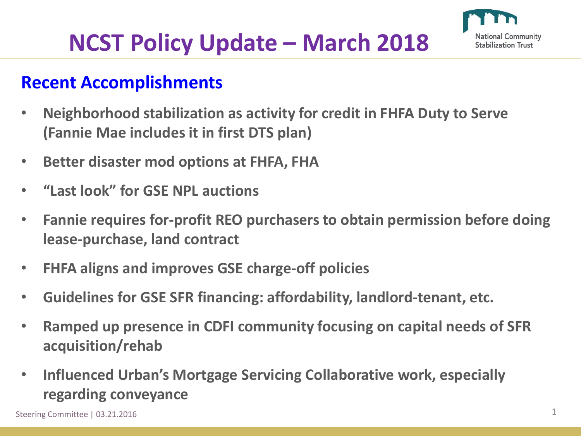

# **NCST Policy Update – March 2018**

### **Recent Accomplishments**

- **Neighborhood stabilization as activity for credit in FHFA Duty to Serve (Fannie Mae includes it in first DTS plan)**
- **Better disaster mod options at FHFA, FHA**
- **"Last look" for GSE NPL auctions**
- **Fannie requires for-profit REO purchasers to obtain permission before doing lease-purchase, land contract**
- **FHFA aligns and improves GSE charge-off policies**
- **Guidelines for GSE SFR financing: affordability, landlord-tenant, etc.**
- **Ramped up presence in CDFI community focusing on capital needs of SFR acquisition/rehab**
- **Influenced Urban's Mortgage Servicing Collaborative work, especially regarding conveyance**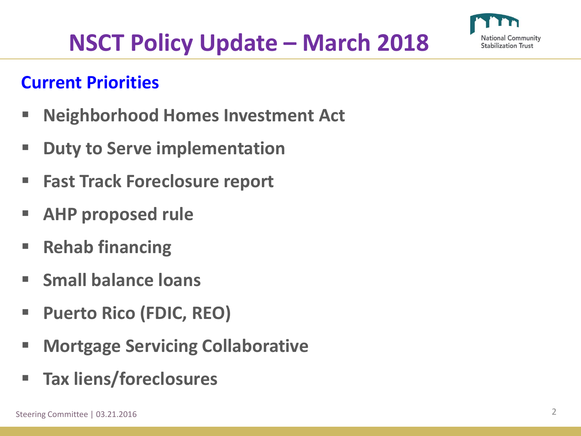

# **NSCT Policy Update – March 2018**

## **Current Priorities**

- **Neighborhood Homes Investment Act**
- **Duty to Serve implementation**
- **Fast Track Foreclosure report**
- **AHP proposed rule**
- **Rehab financing**
- **Small balance loans**
- **Puerto Rico (FDIC, REO)**
- **Mortgage Servicing Collaborative**
- **Tax liens/foreclosures**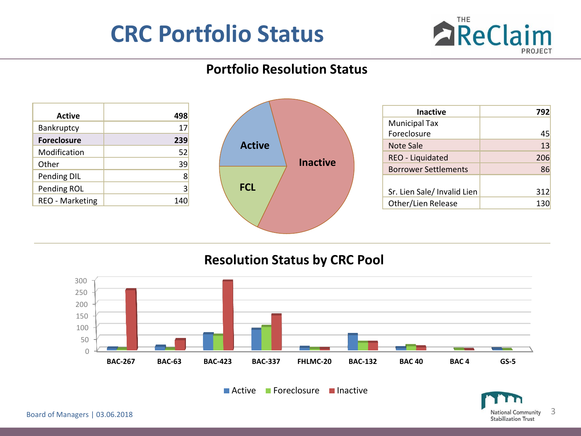## **CRC Portfolio Status**



### **Portfolio Resolution Status**

| <b>Active</b>          | 498 |
|------------------------|-----|
| Bankruptcy             | 17  |
| <b>Foreclosure</b>     | 239 |
| Modification           | 52  |
| Other                  | 39  |
| Pending DIL            | 8   |
| Pending ROL            | 3   |
| <b>REO - Marketing</b> | 140 |



| <b>Inactive</b>             | 792 |
|-----------------------------|-----|
| <b>Municipal Tax</b>        |     |
| Foreclosure                 | 45  |
| Note Sale                   | 13  |
| REO - Liquidated            | 206 |
| <b>Borrower Settlements</b> | 86  |
|                             |     |
| Sr. Lien Sale/ Invalid Lien | 312 |
| Other/Lien Release          | 130 |

#### **Resolution Status by CRC Pool**